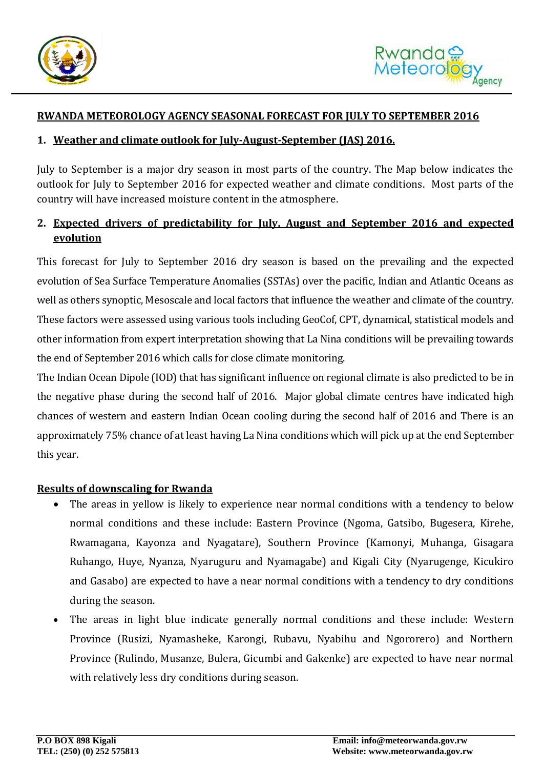

### **RWANDA METEOROLOGY AGENCY SEASONAL FORECAST FOR JULY TO SEPTEMBER 2016**

#### **1. Weather and climate outlook for July-August-September (JAS) 2016.**

July to September is a major dry season in most parts of the country. The Map below indicates the outlook for July to September 2016 for expected weather and climate conditions. Most parts of the country will have increased moisture content in the atmosphere.

# **2. Expected drivers of predictability for July, August and September 2016 and expected evolution**

This forecast for July to September 2016 dry season is based on the prevailing and the expected evolution of Sea Surface Temperature Anomalies (SSTAs) over the pacific, Indian and Atlantic Oceans as well as others synoptic, Mesoscale and local factors that influence the weather and climate of the country. These factors were assessed using various tools including GeoCof, CPT, dynamical, statistical models and other information from expert interpretation showing that La Nina conditions will be prevailing towards the end of September 2016 which calls for close climate monitoring.

The Indian Ocean Dipole (IOD) that has significant influence on regional climate is also predicted to be in the negative phase during the second half of 2016. Major global climate centres have indicated high chances of western and eastern Indian Ocean cooling during the second half of 2016 and There is an approximately 75% chance of at least having La Nina conditions which will pick up at the end September this year.

### **Results of downscaling for Rwanda**

- The areas in yellow is likely to experience near normal conditions with a tendency to below normal conditions and these include: Eastern Province (Ngoma, Gatsibo, Bugesera, Kirehe, Rwamagana, Kayonza and Nyagatare), Southern Province (Kamonyi, Muhanga, Gisagara Ruhango, Huye, Nyanza, Nyaruguru and Nyamagabe) and Kigali City (Nyarugenge, Kicukiro and Gasabo) are expected to have a near normal conditions with a tendency to dry conditions during the season.
- The areas in light blue indicate generally normal conditions and these include: Western Province (Rusizi, Nyamasheke, Karongi, Rubavu, Nyabihu and Ngororero) and Northern Province (Rulindo, Musanze, Bulera, Gicumbi and Gakenke) are expected to have near normal with relatively less dry conditions during season.